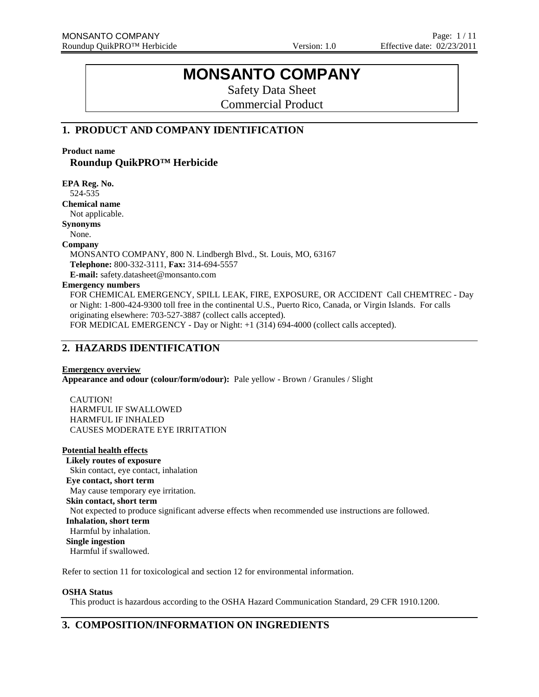# **MONSANTO COMPANY**

Safety Data Sheet Commercial Product

## **1. PRODUCT AND COMPANY IDENTIFICATION**

**Product name**

**Roundup QuikPRO™ Herbicide**

**EPA Reg. No.** 524-535

**Chemical name**

Not applicable.

**Synonyms**

None.

## **Company**

MONSANTO COMPANY, 800 N. Lindbergh Blvd., St. Louis, MO, 63167 **Telephone:** 800-332-3111, **Fax:** 314-694-5557

**E-mail:** safety.datasheet@monsanto.com

## **Emergency numbers**

FOR CHEMICAL EMERGENCY, SPILL LEAK, FIRE, EXPOSURE, OR ACCIDENT Call CHEMTREC - Day or Night: 1-800-424-9300 toll free in the continental U.S., Puerto Rico, Canada, or Virgin Islands. For calls originating elsewhere: 703-527-3887 (collect calls accepted). FOR MEDICAL EMERGENCY - Day or Night: +1 (314) 694-4000 (collect calls accepted).

## **2. HAZARDS IDENTIFICATION**

## **Emergency overview**

**Appearance and odour (colour/form/odour):** Pale yellow - Brown / Granules / Slight

CAUTION! HARMFUL IF SWALLOWED HARMFUL IF INHALED CAUSES MODERATE EYE IRRITATION

## **Potential health effects**

**Likely routes of exposure** Skin contact, eye contact, inhalation **Eye contact, short term** May cause temporary eye irritation. **Skin contact, short term** Not expected to produce significant adverse effects when recommended use instructions are followed. **Inhalation, short term** Harmful by inhalation. **Single ingestion** Harmful if swallowed.

Refer to section 11 for toxicological and section 12 for environmental information.

## **OSHA Status**

This product is hazardous according to the OSHA Hazard Communication Standard, 29 CFR 1910.1200.

## **3. COMPOSITION/INFORMATION ON INGREDIENTS**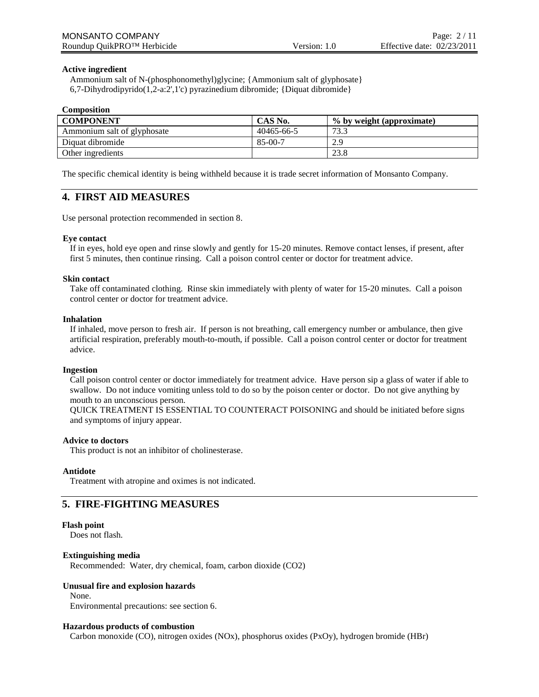## **Active ingredient**

Ammonium salt of N-(phosphonomethyl)glycine; {Ammonium salt of glyphosate} 6,7-Dihydrodipyrido(1,2-a:2',1'c) pyrazinedium dibromide; {Diquat dibromide}

#### **Composition**

| <b>COMPONENT</b>            | CAS No.    | % by weight (approximate) |
|-----------------------------|------------|---------------------------|
| Ammonium salt of glyphosate | 40465-66-5 | 73.3                      |
| Diquat dibromide            | 85-00-7    | 2.9                       |
| Other ingredients           |            | 23.8                      |

The specific chemical identity is being withheld because it is trade secret information of Monsanto Company.

## **4. FIRST AID MEASURES**

Use personal protection recommended in section 8.

## **Eye contact**

If in eyes, hold eye open and rinse slowly and gently for 15-20 minutes. Remove contact lenses, if present, after first 5 minutes, then continue rinsing. Call a poison control center or doctor for treatment advice.

#### **Skin contact**

Take off contaminated clothing. Rinse skin immediately with plenty of water for 15-20 minutes. Call a poison control center or doctor for treatment advice.

## **Inhalation**

If inhaled, move person to fresh air. If person is not breathing, call emergency number or ambulance, then give artificial respiration, preferably mouth-to-mouth, if possible. Call a poison control center or doctor for treatment advice.

#### **Ingestion**

Call poison control center or doctor immediately for treatment advice. Have person sip a glass of water if able to swallow. Do not induce vomiting unless told to do so by the poison center or doctor. Do not give anything by mouth to an unconscious person.

QUICK TREATMENT IS ESSENTIAL TO COUNTERACT POISONING and should be initiated before signs and symptoms of injury appear.

#### **Advice to doctors**

This product is not an inhibitor of cholinesterase.

#### **Antidote**

Treatment with atropine and oximes is not indicated.

## **5. FIRE-FIGHTING MEASURES**

#### **Flash point**

Does not flash.

## **Extinguishing media**

Recommended: Water, dry chemical, foam, carbon dioxide (CO2)

## **Unusual fire and explosion hazards**

None.

Environmental precautions: see section 6.

#### **Hazardous products of combustion**

Carbon monoxide (CO), nitrogen oxides (NOx), phosphorus oxides (PxOy), hydrogen bromide (HBr)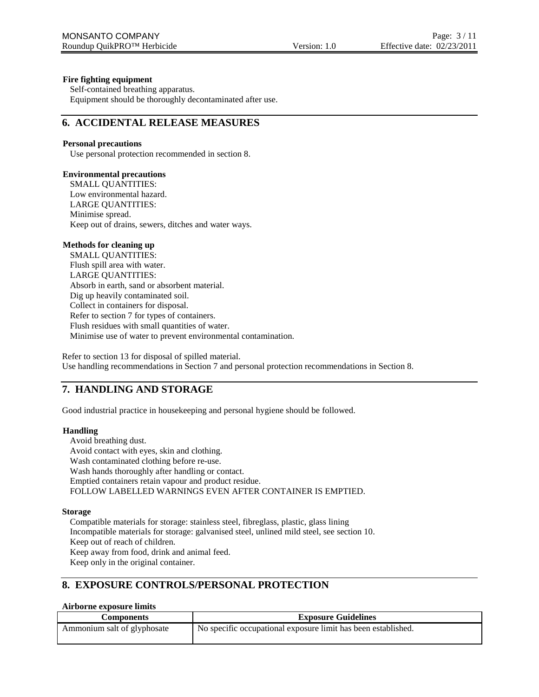## **Fire fighting equipment**

Self-contained breathing apparatus. Equipment should be thoroughly decontaminated after use.

## **6. ACCIDENTAL RELEASE MEASURES**

## **Personal precautions**

Use personal protection recommended in section 8.

## **Environmental precautions**

SMALL QUANTITIES: Low environmental hazard. LARGE QUANTITIES: Minimise spread. Keep out of drains, sewers, ditches and water ways.

## **Methods for cleaning up**

SMALL QUANTITIES: Flush spill area with water. LARGE QUANTITIES: Absorb in earth, sand or absorbent material. Dig up heavily contaminated soil. Collect in containers for disposal. Refer to section 7 for types of containers. Flush residues with small quantities of water. Minimise use of water to prevent environmental contamination.

Refer to section 13 for disposal of spilled material. Use handling recommendations in Section 7 and personal protection recommendations in Section 8.

## **7. HANDLING AND STORAGE**

Good industrial practice in housekeeping and personal hygiene should be followed.

## **Handling**

Avoid breathing dust. Avoid contact with eyes, skin and clothing. Wash contaminated clothing before re-use. Wash hands thoroughly after handling or contact. Emptied containers retain vapour and product residue. FOLLOW LABELLED WARNINGS EVEN AFTER CONTAINER IS EMPTIED.

## **Storage**

Compatible materials for storage: stainless steel, fibreglass, plastic, glass lining Incompatible materials for storage: galvanised steel, unlined mild steel, see section 10. Keep out of reach of children. Keep away from food, drink and animal feed. Keep only in the original container.

## **8. EXPOSURE CONTROLS/PERSONAL PROTECTION**

## **Airborne exposure limits**

| Components                  | <b>Exposure Guidelines</b>                                    |
|-----------------------------|---------------------------------------------------------------|
| Ammonium salt of glyphosate | No specific occupational exposure limit has been established. |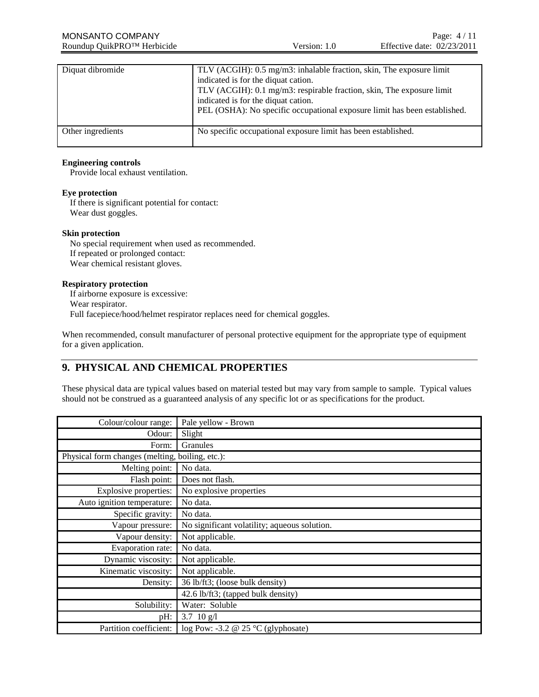| Diquat dibromide  | TLV (ACGIH): 0.5 mg/m3: inhalable fraction, skin, The exposure limit<br>indicated is for the diquat cation.<br>TLV (ACGIH): 0.1 mg/m3: respirable fraction, skin, The exposure limit<br>indicated is for the diquat cation.<br>PEL (OSHA): No specific occupational exposure limit has been established. |
|-------------------|----------------------------------------------------------------------------------------------------------------------------------------------------------------------------------------------------------------------------------------------------------------------------------------------------------|
| Other ingredients | No specific occupational exposure limit has been established.                                                                                                                                                                                                                                            |

## **Engineering controls**

Provide local exhaust ventilation.

## **Eye protection**

If there is significant potential for contact: Wear dust goggles.

#### **Skin protection**

No special requirement when used as recommended. If repeated or prolonged contact: Wear chemical resistant gloves.

#### **Respiratory protection**

If airborne exposure is excessive: Wear respirator. Full facepiece/hood/helmet respirator replaces need for chemical goggles.

When recommended, consult manufacturer of personal protective equipment for the appropriate type of equipment for a given application.

## **9. PHYSICAL AND CHEMICAL PROPERTIES**

These physical data are typical values based on material tested but may vary from sample to sample. Typical values should not be construed as a guaranteed analysis of any specific lot or as specifications for the product.

| Colour/colour range:                            | Pale yellow - Brown                          |
|-------------------------------------------------|----------------------------------------------|
| Odour:                                          | Slight                                       |
| Form:                                           | Granules                                     |
| Physical form changes (melting, boiling, etc.): |                                              |
| Melting point:                                  | No data.                                     |
| Flash point:                                    | Does not flash.                              |
| <b>Explosive properties:</b>                    | No explosive properties                      |
| Auto ignition temperature:                      | No data.                                     |
| Specific gravity:                               | No data.                                     |
| Vapour pressure:                                | No significant volatility; aqueous solution. |
| Vapour density:                                 | Not applicable.                              |
| Evaporation rate:                               | No data.                                     |
| Dynamic viscosity:                              | Not applicable.                              |
| Kinematic viscosity:                            | Not applicable.                              |
| Density:                                        | 36 lb/ft3; (loose bulk density)              |
|                                                 | 42.6 lb/ft3; (tapped bulk density)           |
| Solubility:                                     | Water: Soluble                               |
| pH:                                             | 3.7 10 $g/l$                                 |
| Partition coefficient:                          | log Pow: -3.2 @ 25 $\degree$ C (glyphosate)  |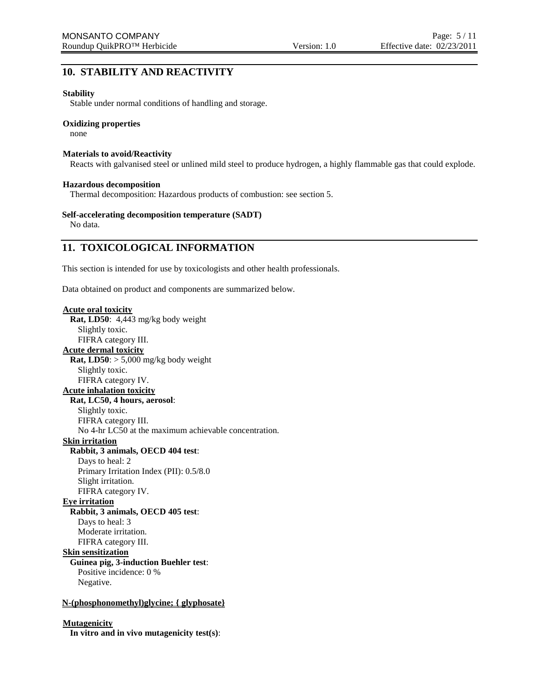## **10. STABILITY AND REACTIVITY**

## **Stability**

Stable under normal conditions of handling and storage.

## **Oxidizing properties**

none

### **Materials to avoid/Reactivity**

Reacts with galvanised steel or unlined mild steel to produce hydrogen, a highly flammable gas that could explode.

#### **Hazardous decomposition**

Thermal decomposition: Hazardous products of combustion: see section 5.

## **Self-accelerating decomposition temperature (SADT)**

No data.

## **11. TOXICOLOGICAL INFORMATION**

This section is intended for use by toxicologists and other health professionals.

Data obtained on product and components are summarized below.

## **Acute oral toxicity**

**Rat, LD50**: 4,443 mg/kg body weight Slightly toxic. FIFRA category III. **Acute dermal toxicity Rat, LD50**:  $> 5,000$  mg/kg body weight Slightly toxic. FIFRA category IV. **Acute inhalation toxicity Rat, LC50, 4 hours, aerosol**: Slightly toxic. FIFRA category III. No 4-hr LC50 at the maximum achievable concentration. **Skin irritation Rabbit, 3 animals, OECD 404 test**: Days to heal: 2 Primary Irritation Index (PII): 0.5/8.0 Slight irritation. FIFRA category IV. **Eye irritation Rabbit, 3 animals, OECD 405 test**: Days to heal: 3 Moderate irritation. FIFRA category III. **Skin sensitization Guinea pig, 3-induction Buehler test**: Positive incidence: 0 % Negative. **N-(phosphonomethyl)glycine; { glyphosate}**

## **Mutagenicity**

**In vitro and in vivo mutagenicity test(s)**: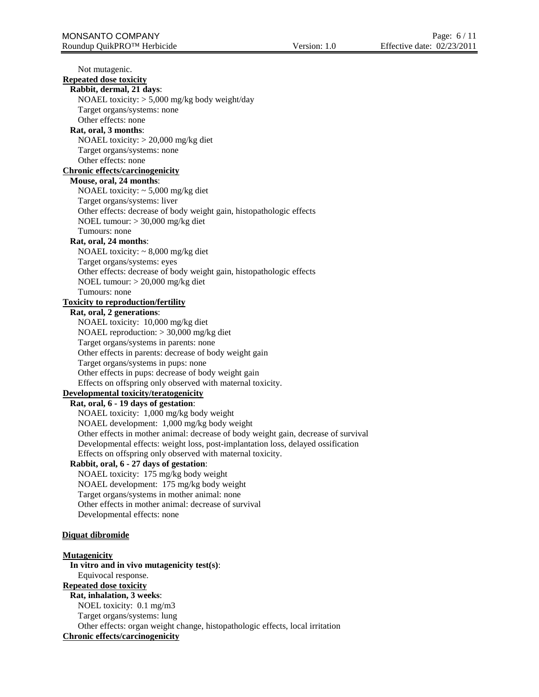Not mutagenic. **Repeated dose toxicity Rabbit, dermal, 21 days**: NOAEL toxicity: > 5,000 mg/kg body weight/day Target organs/systems: none Other effects: none **Rat, oral, 3 months**: NOAEL toxicity: > 20,000 mg/kg diet Target organs/systems: none Other effects: none **Chronic effects/carcinogenicity Mouse, oral, 24 months**: NOAEL toxicity: ~ 5,000 mg/kg diet Target organs/systems: liver Other effects: decrease of body weight gain, histopathologic effects NOEL tumour: > 30,000 mg/kg diet Tumours: none **Rat, oral, 24 months**: NOAEL toxicity: ~ 8,000 mg/kg diet Target organs/systems: eyes Other effects: decrease of body weight gain, histopathologic effects NOEL tumour: > 20,000 mg/kg diet Tumours: none **Toxicity to reproduction/fertility Rat, oral, 2 generations**: NOAEL toxicity: 10,000 mg/kg diet NOAEL reproduction: > 30,000 mg/kg diet Target organs/systems in parents: none Other effects in parents: decrease of body weight gain Target organs/systems in pups: none Other effects in pups: decrease of body weight gain Effects on offspring only observed with maternal toxicity. **Developmental toxicity/teratogenicity Rat, oral, 6 - 19 days of gestation**: NOAEL toxicity: 1,000 mg/kg body weight NOAEL development: 1,000 mg/kg body weight Other effects in mother animal: decrease of body weight gain, decrease of survival Developmental effects: weight loss, post-implantation loss, delayed ossification Effects on offspring only observed with maternal toxicity. **Rabbit, oral, 6 - 27 days of gestation**: NOAEL toxicity: 175 mg/kg body weight NOAEL development: 175 mg/kg body weight Target organs/systems in mother animal: none Other effects in mother animal: decrease of survival Developmental effects: none **Diquat dibromide Mutagenicity In vitro and in vivo mutagenicity test(s)**: Equivocal response. **Repeated dose toxicity Rat, inhalation, 3 weeks**: NOEL toxicity: 0.1 mg/m3 Target organs/systems: lung Other effects: organ weight change, histopathologic effects, local irritation **Chronic effects/carcinogenicity**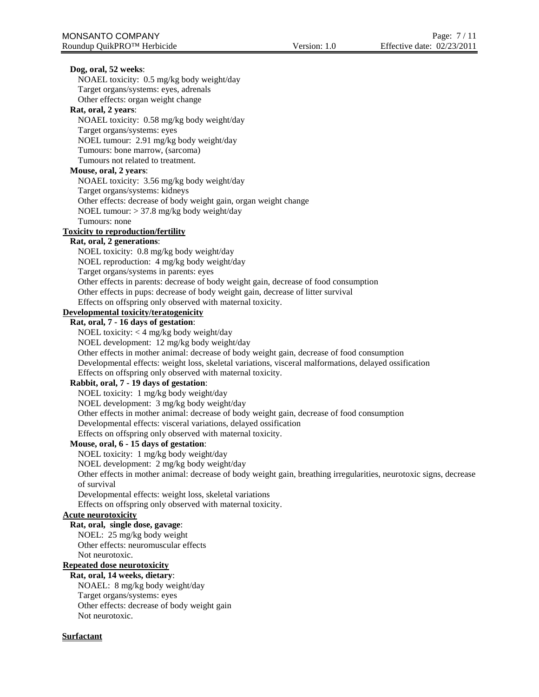| Dog, oral, 52 weeks:                                                                                               |
|--------------------------------------------------------------------------------------------------------------------|
| NOAEL toxicity: 0.5 mg/kg body weight/day                                                                          |
| Target organs/systems: eyes, adrenals                                                                              |
| Other effects: organ weight change                                                                                 |
| Rat, oral, 2 years:                                                                                                |
| NOAEL toxicity: 0.58 mg/kg body weight/day                                                                         |
| Target organs/systems: eyes                                                                                        |
| NOEL tumour: 2.91 mg/kg body weight/day                                                                            |
| Tumours: bone marrow, (sarcoma)                                                                                    |
| Tumours not related to treatment.                                                                                  |
| Mouse, oral, 2 years:                                                                                              |
| NOAEL toxicity: 3.56 mg/kg body weight/day                                                                         |
| Target organs/systems: kidneys                                                                                     |
| Other effects: decrease of body weight gain, organ weight change                                                   |
| NOEL tumour: $> 37.8$ mg/kg body weight/day                                                                        |
| Tumours: none                                                                                                      |
| <b>Toxicity to reproduction/fertility</b>                                                                          |
| Rat, oral, 2 generations:                                                                                          |
| NOEL toxicity: 0.8 mg/kg body weight/day                                                                           |
| NOEL reproduction: 4 mg/kg body weight/day                                                                         |
| Target organs/systems in parents: eyes                                                                             |
| Other effects in parents: decrease of body weight gain, decrease of food consumption                               |
| Other effects in pups: decrease of body weight gain, decrease of litter survival                                   |
| Effects on offspring only observed with maternal toxicity.                                                         |
| Developmental toxicity/teratogenicity                                                                              |
| Rat, oral, 7 - 16 days of gestation:                                                                               |
| NOEL toxicity: $<$ 4 mg/kg body weight/day                                                                         |
| NOEL development: 12 mg/kg body weight/day                                                                         |
| Other effects in mother animal: decrease of body weight gain, decrease of food consumption                         |
| Developmental effects: weight loss, skeletal variations, visceral malformations, delayed ossification              |
| Effects on offspring only observed with maternal toxicity.                                                         |
| Rabbit, oral, 7 - 19 days of gestation:                                                                            |
| NOEL toxicity: 1 mg/kg body weight/day                                                                             |
| NOEL development: 3 mg/kg body weight/day                                                                          |
| Other effects in mother animal: decrease of body weight gain, decrease of food consumption                         |
| Developmental effects: visceral variations, delayed ossification                                                   |
| Effects on offspring only observed with maternal toxicity.                                                         |
| Mouse, oral, 6 - 15 days of gestation:                                                                             |
| NOEL toxicity: 1 mg/kg body weight/day                                                                             |
| NOEL development: 2 mg/kg body weight/day                                                                          |
| Other effects in mother animal: decrease of body weight gain, breathing irregularities, neurotoxic signs, decrease |
| of survival                                                                                                        |
| Developmental effects: weight loss, skeletal variations                                                            |
| Effects on offspring only observed with maternal toxicity.                                                         |
| <b>Acute neurotoxicity</b>                                                                                         |
| Rat, oral, single dose, gavage:                                                                                    |
| NOEL: 25 mg/kg body weight                                                                                         |
| Other effects: neuromuscular effects                                                                               |
| Not neurotoxic.                                                                                                    |
| <b>Repeated dose neurotoxicity</b>                                                                                 |
| Rat, oral, 14 weeks, dietary:                                                                                      |
| NOAEL: 8 mg/kg body weight/day                                                                                     |
| Target organs/systems: eyes                                                                                        |
| Other effects: decrease of body weight gain                                                                        |
| Not neurotoxic.                                                                                                    |

## **Surfactant**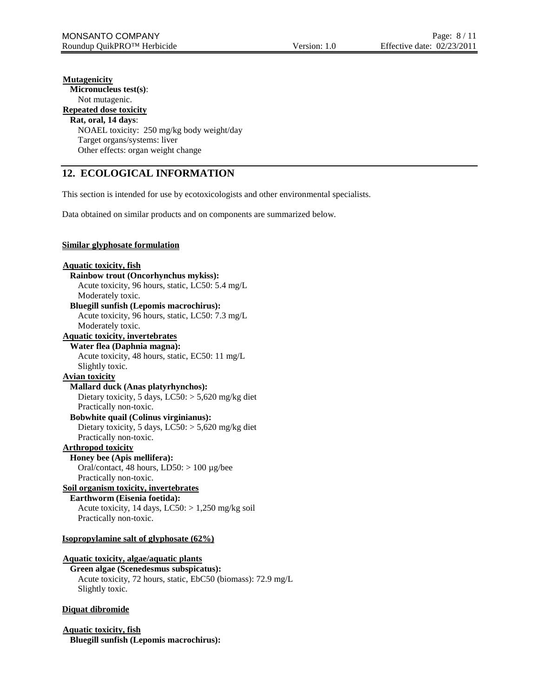## **Mutagenicity Micronucleus test(s)**: Not mutagenic. **Repeated dose toxicity Rat, oral, 14 days**: NOAEL toxicity: 250 mg/kg body weight/day Target organs/systems: liver Other effects: organ weight change

## **12. ECOLOGICAL INFORMATION**

This section is intended for use by ecotoxicologists and other environmental specialists.

Data obtained on similar products and on components are summarized below.

## **Similar glyphosate formulation**

**Aquatic toxicity, fish Rainbow trout (Oncorhynchus mykiss):** Acute toxicity, 96 hours, static, LC50: 5.4 mg/L Moderately toxic. **Bluegill sunfish (Lepomis macrochirus):** Acute toxicity, 96 hours, static, LC50: 7.3 mg/L Moderately toxic. **Aquatic toxicity, invertebrates Water flea (Daphnia magna):** Acute toxicity, 48 hours, static, EC50: 11 mg/L Slightly toxic. **Avian toxicity Mallard duck (Anas platyrhynchos):** Dietary toxicity, 5 days,  $LC50$ :  $> 5,620$  mg/kg diet Practically non-toxic. **Bobwhite quail (Colinus virginianus):** Dietary toxicity, 5 days, LC50: > 5,620 mg/kg diet Practically non-toxic. **Arthropod toxicity Honey bee (Apis mellifera):** Oral/contact, 48 hours,  $LD50$ :  $> 100 \mu g/$ bee Practically non-toxic. **Soil organism toxicity, invertebrates Earthworm (Eisenia foetida):** Acute toxicity, 14 days,  $LC50$ :  $> 1,250$  mg/kg soil Practically non-toxic. **Isopropylamine salt of glyphosate (62%)**

#### **Aquatic toxicity, algae/aquatic plants**

**Green algae (Scenedesmus subspicatus):** Acute toxicity, 72 hours, static, EbC50 (biomass): 72.9 mg/L Slightly toxic.

## **Diquat dibromide**

**Aquatic toxicity, fish Bluegill sunfish (Lepomis macrochirus):**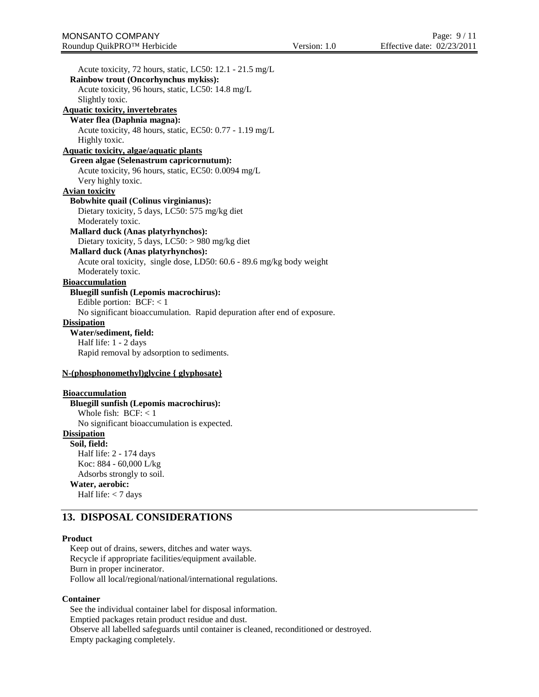Acute toxicity, 72 hours, static, LC50: 12.1 - 21.5 mg/L **Rainbow trout (Oncorhynchus mykiss):** Acute toxicity, 96 hours, static, LC50: 14.8 mg/L Slightly toxic. **Aquatic toxicity, invertebrates Water flea (Daphnia magna):** Acute toxicity, 48 hours, static, EC50: 0.77 - 1.19 mg/L Highly toxic. **Aquatic toxicity, algae/aquatic plants Green algae (Selenastrum capricornutum):** Acute toxicity, 96 hours, static, EC50: 0.0094 mg/L Very highly toxic. **Avian toxicity Bobwhite quail (Colinus virginianus):** Dietary toxicity, 5 days, LC50: 575 mg/kg diet Moderately toxic. **Mallard duck (Anas platyrhynchos):** Dietary toxicity, 5 days, LC50: > 980 mg/kg diet **Mallard duck (Anas platyrhynchos):** Acute oral toxicity, single dose, LD50: 60.6 - 89.6 mg/kg body weight Moderately toxic. **Bioaccumulation Bluegill sunfish (Lepomis macrochirus):** Edible portion:  $BCF: < 1$ No significant bioaccumulation. Rapid depuration after end of exposure. **Dissipation Water/sediment, field:** Half life: 1 - 2 days Rapid removal by adsorption to sediments. **N-(phosphonomethyl)glycine { glyphosate} Bioaccumulation Bluegill sunfish (Lepomis macrochirus):** Whole fish: BCF: < 1 No significant bioaccumulation is expected. **Dissipation Soil, field:**

Half life: 2 - 174 days Koc: 884 - 60,000 L/kg Adsorbs strongly to soil. **Water, aerobic:** Half life:  $<$  7 days

## **13. DISPOSAL CONSIDERATIONS**

#### **Product**

Keep out of drains, sewers, ditches and water ways. Recycle if appropriate facilities/equipment available. Burn in proper incinerator. Follow all local/regional/national/international regulations.

### **Container**

See the individual container label for disposal information. Emptied packages retain product residue and dust. Observe all labelled safeguards until container is cleaned, reconditioned or destroyed. Empty packaging completely.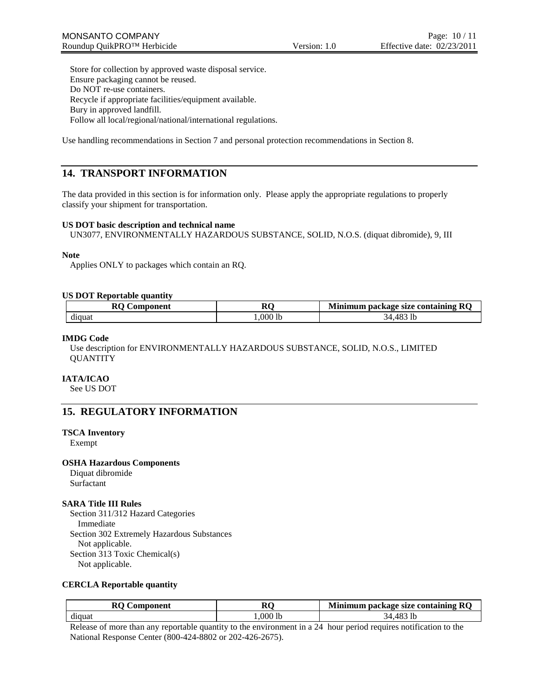Store for collection by approved waste disposal service. Ensure packaging cannot be reused. Do NOT re-use containers. Recycle if appropriate facilities/equipment available. Bury in approved landfill. Follow all local/regional/national/international regulations.

Use handling recommendations in Section 7 and personal protection recommendations in Section 8.

## **14. TRANSPORT INFORMATION**

The data provided in this section is for information only. Please apply the appropriate regulations to properly classify your shipment for transportation.

## **US DOT basic description and technical name**

UN3077, ENVIRONMENTALLY HAZARDOUS SUBSTANCE, SOLID, N.O.S. (diquat dibromide), 9, III

## **Note**

Applies ONLY to packages which contain an RQ.

## **US DOT Reportable quantity**

| $\mathbf{r}$<br>omponent<br>ᄿ | D O<br>лv | RC<br>i package size containing-<br>linimum |  |
|-------------------------------|-----------|---------------------------------------------|--|
| diquat                        | ,000 lb   | 10 <sup>o</sup><br>1b<br>៶∠⊥<br><b>4δ.</b>  |  |

## **IMDG Code**

Use description for ENVIRONMENTALLY HAZARDOUS SUBSTANCE, SOLID, N.O.S., LIMITED QUANTITY

## **IATA/ICAO**

See US DOT

## **15. REGULATORY INFORMATION**

## **TSCA Inventory**

Exempt

## **OSHA Hazardous Components**

Diquat dibromide Surfactant

## **SARA Title III Rules**

Section 311/312 Hazard Categories Immediate Section 302 Extremely Hazardous Substances Not applicable. Section 313 Toxic Chemical(s) Not applicable.

## **CERCLA Reportable quantity**

| DΛ<br>:omponent<br>м | DΛ<br>лv | . <b>.</b> .<br>RC<br><b>Tinimum package size containing L</b> |
|----------------------|----------|----------------------------------------------------------------|
| diquat               | .000 lb  | iД                                                             |

Release of more than any reportable quantity to the environment in a 24 hour period requires notification to the National Response Center (800-424-8802 or 202-426-2675).